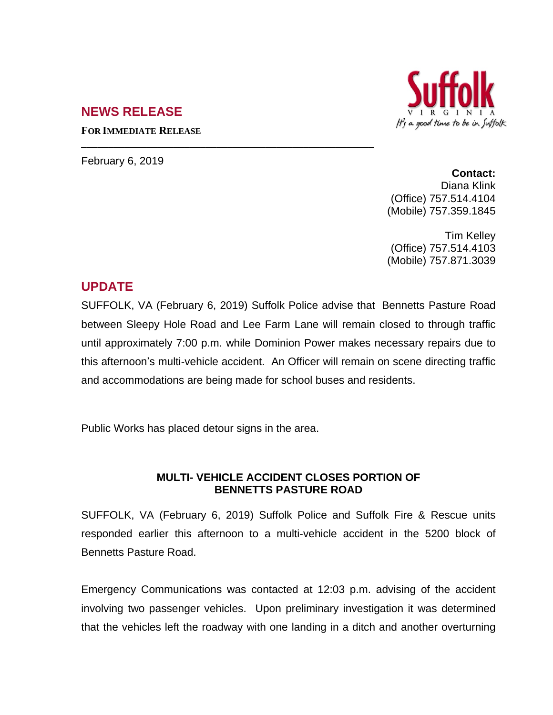## **NEWS RELEASE**



**FOR IMMEDIATE RELEASE**

February 6, 2019

**Contact:** Diana Klink (Office) 757.514.4104 (Mobile) 757.359.1845

Tim Kelley (Office) 757.514.4103 (Mobile) 757.871.3039

## **UPDATE**

SUFFOLK, VA (February 6, 2019) Suffolk Police advise that Bennetts Pasture Road between Sleepy Hole Road and Lee Farm Lane will remain closed to through traffic until approximately 7:00 p.m. while Dominion Power makes necessary repairs due to this afternoon's multi-vehicle accident. An Officer will remain on scene directing traffic and accommodations are being made for school buses and residents.

Public Works has placed detour signs in the area.

**\_\_\_\_\_\_\_\_\_\_\_\_\_\_\_\_\_\_\_\_\_\_\_\_\_\_\_\_\_\_\_\_\_\_\_\_\_\_\_\_\_\_\_\_\_\_\_\_\_\_\_\_\_\_**

## **MULTI- VEHICLE ACCIDENT CLOSES PORTION OF BENNETTS PASTURE ROAD**

SUFFOLK, VA (February 6, 2019) Suffolk Police and Suffolk Fire & Rescue units responded earlier this afternoon to a multi-vehicle accident in the 5200 block of Bennetts Pasture Road.

Emergency Communications was contacted at 12:03 p.m. advising of the accident involving two passenger vehicles. Upon preliminary investigation it was determined that the vehicles left the roadway with one landing in a ditch and another overturning